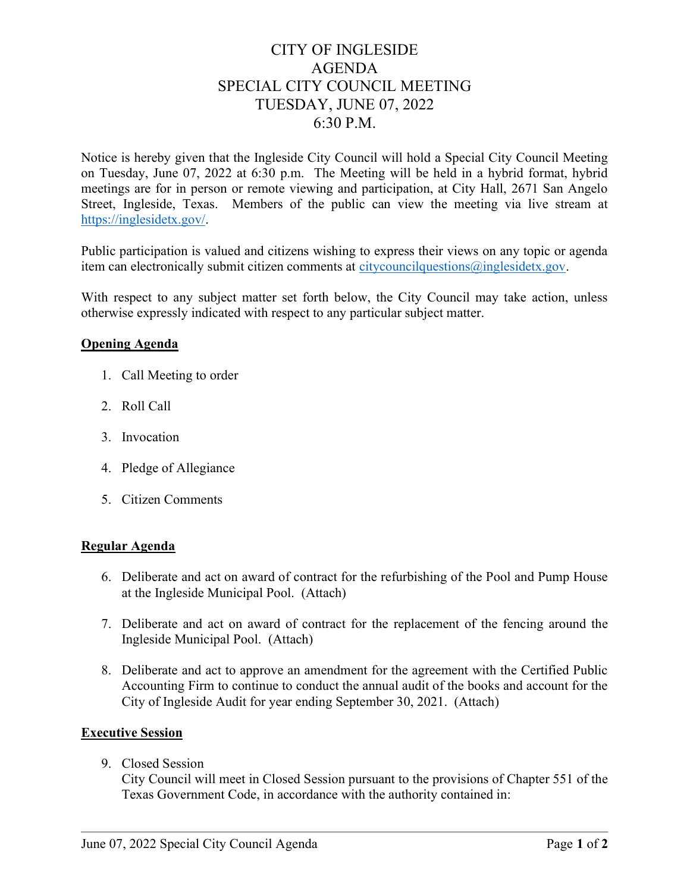# CITY OF INGLESIDE AGENDA SPECIAL CITY COUNCIL MEETING TUESDAY, JUNE 07, 2022 6:30 P.M.

Notice is hereby given that the Ingleside City Council will hold a Special City Council Meeting on Tuesday, June 07, 2022 at 6:30 p.m. The Meeting will be held in a hybrid format, hybrid meetings are for in person or remote viewing and participation, at City Hall, 2671 San Angelo Street, Ingleside, Texas. Members of the public can view the meeting via live stream at https://inglesidetx.gov/.

Public participation is valued and citizens wishing to express their views on any topic or agenda item can electronically submit citizen comments at citycouncilquestions@inglesidetx.gov.

With respect to any subject matter set forth below, the City Council may take action, unless otherwise expressly indicated with respect to any particular subject matter.

### Opening Agenda

- 1. Call Meeting to order
- 2. Roll Call
- 3. Invocation
- 4. Pledge of Allegiance
- 5. Citizen Comments

#### Regular Agenda

- 6. Deliberate and act on award of contract for the refurbishing of the Pool and Pump House at the Ingleside Municipal Pool. [\(Attach\)](https://tx-ingleside.civicplus.com/DocumentCenter/View/1498/Item-6-PDF)
- 7. Deliberate and act on award of contract for the replacement of the fencing around the Ingleside Municipal Pool. [\(Attach\)](https://tx-ingleside.civicplus.com/DocumentCenter/View/1499/Item-7-PDF)
- 8. Deliberate and act to approve an amendment for the agreement with the Certified Public Accounting Firm to continue to conduct the annual audit of the books and account for the City of Ingleside Audit for year ending September 30, 2021. [\(Attach\)](https://tx-ingleside.civicplus.com/DocumentCenter/View/1500/Item-8-PDF)

#### Executive Session

9. Closed Session

City Council will meet in Closed Session pursuant to the provisions of Chapter 551 of the Texas Government Code, in accordance with the authority contained in: